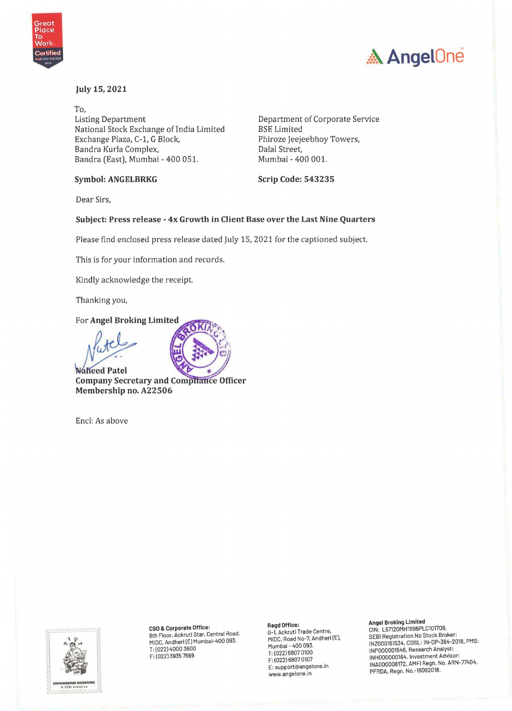



#### July 15, 2021

To, Listing Department National Stock Exchange of India Limited Exchange Plaza, C-1, G Block, Bandra Kurla Complex, Bandra (East), Mumbai - 400 051.

**Symbol: ANGELBRKG** 

Department of Corporate Service BSE Limited Phiroze Jeejeebhoy Towers, Dalal Street, Mumbai - 400 001.

**Scrip Code: 543235** 

Dear Sirs,

#### **Subject: Press release** - **4x Growth in Client Base over the Last Nine Quarters**

Please find enclosed press release dated July 15, 2021 for the captioned subject.

This is for your information and records.

Kindly acknowledge the receipt.

Thanking you,

**For Angel Broking Limited** 



**Naheed Patel Company Secretary and Comphance Officer Membership no. A22506** 

Encl: As above



**CSO** & **Corporate Office:**  6th Floor, Ackruti Star, Central Road, MIDC, Andheri (E) Mumbai-400 093. T: (022) 4000 3600 F: (022)3935 7699

**Regd Office:** 

G-1, Ackruti Trade Centre, MIOC, Road No-7, Andheri (E), Mumbai - 400 093. T: (022)6B07 0100 F: (022) 6B07 0107 E: support@angelone.in www.angelone.in

**Angel Broking Limited**  CIN: L67120MH1996PLC101709, SEBI Registration No Stock Broker: INZ000161534, CDSL: IN-DP-3B4-2018, PMS: INP000001546, Research Analyst: INH000000164, Investment Advisor: INA000008172, AMFI Regn. No. ARN-77404, PFRDA, Regn. No.-19092018.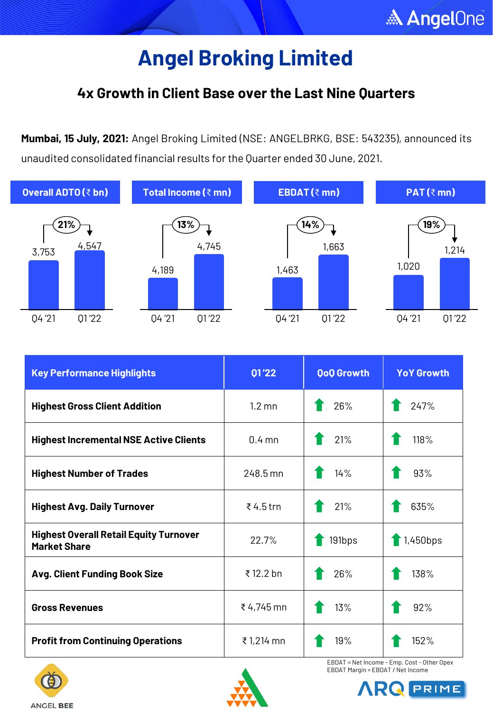### **4x Growth in Client Base over the Last Nine Quarters**

**Mumbai, 15 July, 2021:** Angel Broking Limited (NSE: ANGELBRKG, BSE: 543235), announced its unaudited consolidated financial results for the Quarter ended 30 June, 2021.



| <b>Key Performance Highlights</b>                                    | 01'22            | <b>QoQ Growth</b> | <b>YoY Growth</b> |
|----------------------------------------------------------------------|------------------|-------------------|-------------------|
| <b>Highest Gross Client Addition</b>                                 | $1.2 \text{ mm}$ | 26%               | 247%              |
| <b>Highest Incremental NSE Active Clients</b>                        | $0.4$ mn         | 21%               | 118%              |
| <b>Highest Number of Trades</b>                                      | 248.5 mn         | 14%               | 93%               |
| <b>Highest Avg. Daily Turnover</b>                                   | ₹4.5 trn         | 21%               | 635%              |
| <b>Highest Overall Retail Equity Turnover</b><br><b>Market Share</b> | 22.7%            | $\big\}$ 191bps   | $\big\}$ 1,450bps |
| <b>Avg. Client Funding Book Size</b>                                 | ₹12.2 bn         | 26%               | 138%              |
| <b>Gross Revenues</b>                                                | ₹4,745 mn        | 13%               | 92%               |
| <b>Profit from Continuing Operations</b>                             | ₹1,214 mn        | 19%               | 152%              |







EBDAT = Net Income - Emp. Cost - Other Opex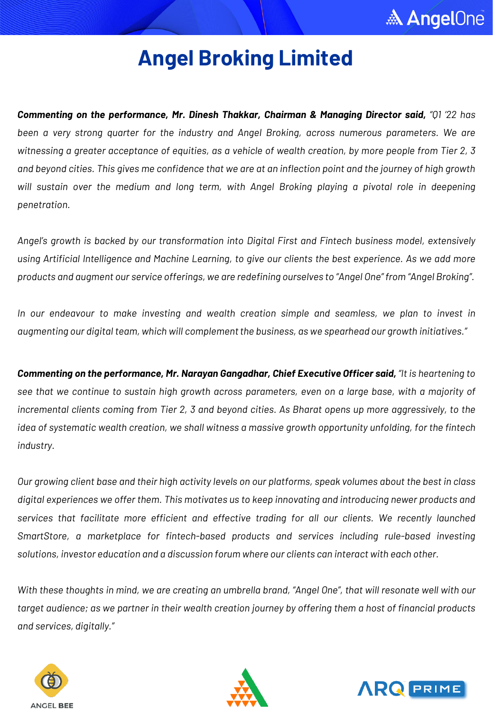

*Commenting on the performance, Mr. Dinesh Thakkar, Chairman & Managing Director said, "Q1 '22 has been a very strong quarter for the industry and Angel Broking, across numerous parameters. We are* witnessing a greater acceptance of equities, as a vehicle of wealth creation, by more people from Tier 2, 3 and beyond cities. This gives me confidence that we are at an inflection point and the journey of high growth *will sustain over the medium and long term, with Angel Broking playing a pivotal role in deepening penetration.*

*Angel's growth is backed by our transformation into Digital First and Fintech business model, extensively* using Artificial Intelligence and Machine Learning, to give our clients the best experience. As we add more products and augment our service offerings, we are redefining ourselves to "Angel One" from "Angel Broking".

*In our endeavour to make investing and wealth creation simple and seamless, we plan to invest in augmenting our digital team, which will complementthe business, as we spearhead our growth initiatives."*

*Commenting on the performance, Mr. Narayan Gangadhar, Chief Executive Officer said, "It is heartening to* see that we continue to sustain high growth across parameters, even on a large base, with a majority of incremental clients coming from Tier 2, 3 and beyond cities. As Bharat opens up more aggressively, to the *idea of systematic wealth creation, we shall witness a massive growth opportunity unfolding, for the fintech industry.*

Our growing client base and their high activity levels on our platforms, speak volumes about the best in class *digital experiences we offer them. This motivates us to keep innovating and introducing newer products and services that facilitate more efficient and effective trading for all our clients. We recently launched SmartStore, a marketplace for fintech-based products and services including rule-based investing solutions, investor education and a discussion forum where our clients can interact with each other.*

With these thoughts in mind, we are creating an umbrella brand, "Angel One", that will resonate well with our target audience; as we partner in their wealth creation journey by offering them a host of financial products *and services, digitally."*





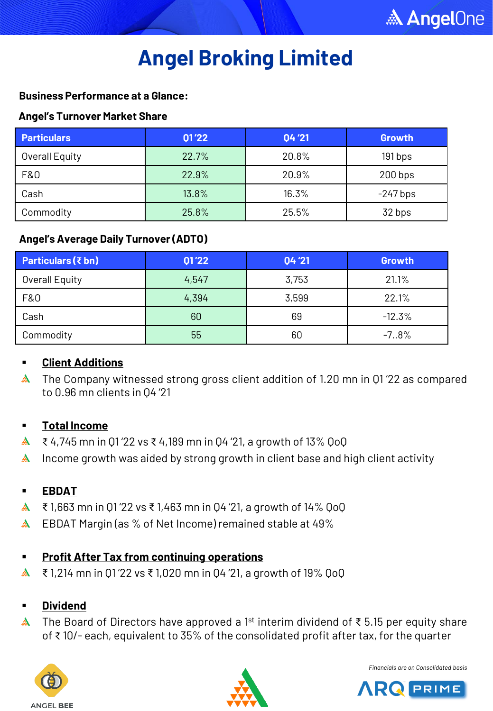#### **Business Performance at a Glance:**

#### **Angel's Turnover Market Share**

| <b>Particulars</b> | 01'22 | 04'21 | <b>Growth</b> |
|--------------------|-------|-------|---------------|
| Overall Equity     | 22.7% | 20.8% | 191 bps       |
| F&0                | 22.9% | 20.9% | $200$ bps     |
| Cash               | 13.8% | 16.3% | $-247$ bps    |
| Commodity          | 25.8% | 25.5% | 32 bps        |

#### **Angel's Average Daily Turnover (ADTO)**

| <b>Particulars (₹ bn)</b> | 01'22 | 04'21 | Growth   |
|---------------------------|-------|-------|----------|
| Overall Equity            | 4,547 | 3,753 | 21.1%    |
| F&0                       | 4,394 | 3,599 | 22.1%    |
| Cash                      | 60    | 69    | $-12.3%$ |
| Commodity                 | 55    | 60    | $-7.8%$  |

#### **Client Additions**

**A** The Company witnessed strong gross client addition of 1.20 mn in Q1'22 as compared to 0.96 mn clients in Q4 '21

#### **Total Income**

- $\triangle$  ₹ 4,745 mn in Q1'22 vs ₹ 4,189 mn in Q4'21, a growth of 13% QoQ
- Income growth was aided by strong growth in client base and high client activity ₳

#### **EBDAT**

- ₹ 1,663 mn in Q1 '22 vs ₹ 1,463 mn in Q4 '21, a growth of 14% QoQ  $\mathbb{A}$
- **A** EBDAT Margin (as % of Net Income) remained stable at 49%

#### **Profit After Tax from continuing operations**

▲ ₹ 1,214 mn in Q1 '22 vs ₹ 1,020 mn in Q4 '21, a growth of 19% QoQ

#### **Dividend**

The Board of Directors have approved a 1<sup>st</sup> interim dividend of ₹5.15 per equity share of ₹ 10/- each, equivalent to 35% of the consolidated profit after tax, for the quarter





*Financials are on Consolidated basis*

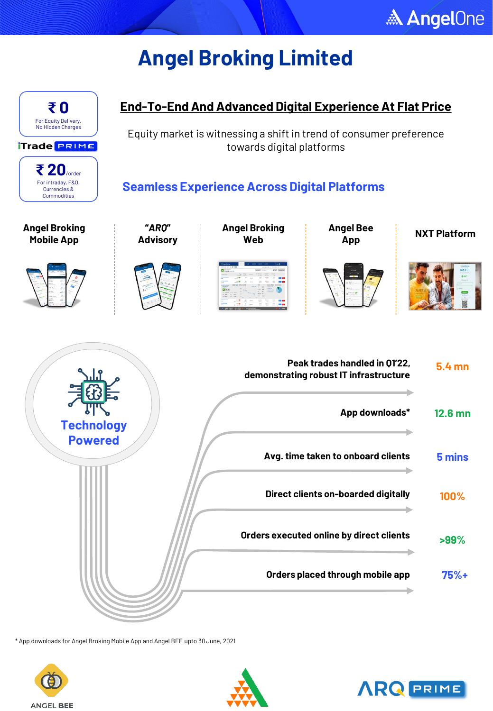



\* App downloads for Angel Broking Mobile App and Angel BEE upto 30June, 2021